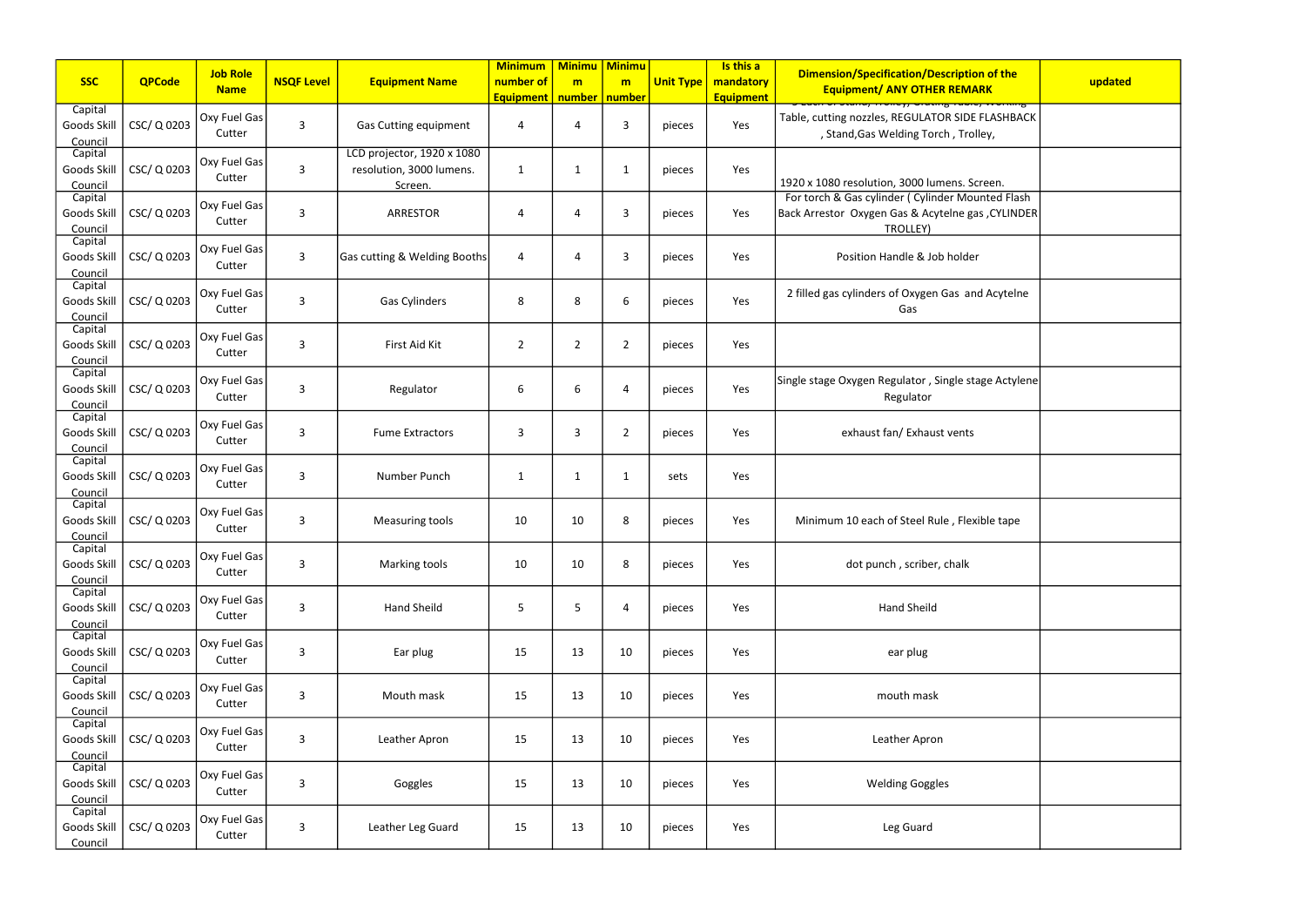| ication/Description of the<br><b>ANY OTHER REMARK</b><br><mark>ᡣᡄ᠊᠋ᠨ᠍ᠨ᠊᠊ᠳᠦᡂᡖᠴ᠇ᢍᡄ᠋ᡣ᠊᠊᠇ᢦ᠊ᠳ᠊ᡊᠬᠨᡖ</mark>      | updated |
|-----------------------------------------------------------------------------------------------------------|---------|
| REGULATOR SIDE FLASHBACK<br>elding Torch, Trolley,                                                        |         |
| n, 3000 lumens. Screen.<br>der (Cylinder Mounted Flash<br>Gas & Acytelne gas , CYLINDER<br><b>ROLLEY)</b> |         |
| andle & Job holder<br>of Oxygen Gas and Acytelne                                                          |         |
| Gas                                                                                                       |         |
|                                                                                                           |         |
| gulator, Single stage Actylene<br>egulator                                                                |         |
| an/ Exhaust vents                                                                                         |         |
|                                                                                                           |         |
| of Steel Rule, Flexible tape                                                                              |         |
| h, scriber, chalk                                                                                         |         |
| and Sheild                                                                                                |         |
| ear plug                                                                                                  |         |
| outh mask                                                                                                 |         |
| ther Apron                                                                                                |         |
| ding Goggles                                                                                              |         |
| eg Guard                                                                                                  |         |

| <b>SSC</b>                        | <b>QPCode</b> | <b>Job Role</b><br><b>Name</b> | <b>NSQF Level</b>       | <b>Equipment Name</b>                                             | <b>Minimum</b><br>number of<br><b>Equipment</b> | <b>Minimu Minimu</b><br>m<br>number   number | m              | <b>Unit Type</b> | Is this a<br>mandatory<br><b>Equipment</b> | <b>Dimension/Specification/Description of the</b><br><b>Equipment/ ANY OTHER REMARK</b>                                   | updated |
|-----------------------------------|---------------|--------------------------------|-------------------------|-------------------------------------------------------------------|-------------------------------------------------|----------------------------------------------|----------------|------------------|--------------------------------------------|---------------------------------------------------------------------------------------------------------------------------|---------|
| Capital<br>Goods Skill<br>Council | CSC/ Q 0203   | Oxy Fuel Gas<br>Cutter         | $\overline{3}$          | <b>Gas Cutting equipment</b>                                      | 4                                               | 4                                            | 3              | pieces           | Yes                                        | Table, cutting nozzles, REGULATOR SIDE FLASHBACK<br>, Stand, Gas Welding Torch, Trolley,                                  |         |
| Capital<br>Goods Skill<br>Council | CSC/Q0203     | Oxy Fuel Gas<br>Cutter         | $\overline{3}$          | LCD projector, 1920 x 1080<br>resolution, 3000 lumens.<br>Screen. | $\mathbf 1$                                     | $\mathbf 1$                                  | 1              | pieces           | Yes                                        | 1920 x 1080 resolution, 3000 lumens. Screen.                                                                              |         |
| Capital<br>Goods Skill<br>Council | CSC/Q0203     | Oxy Fuel Gas<br>Cutter         | $\overline{3}$          | <b>ARRESTOR</b>                                                   | 4                                               | 4                                            | 3              | pieces           | Yes                                        | For torch & Gas cylinder ( Cylinder Mounted Flash<br>Back Arrestor Oxygen Gas & Acytelne gas, CYLINDER<br><b>TROLLEY)</b> |         |
| Capital<br>Goods Skill<br>Council | CSC/ Q 0203   | Oxy Fuel Gas<br>Cutter         | $\overline{3}$          | Gas cutting & Welding Booths                                      | 4                                               | 4                                            | 3              | pieces           | Yes                                        | Position Handle & Job holder                                                                                              |         |
| Capital<br>Goods Skill<br>Council | CSC/Q0203     | Oxy Fuel Gas<br>Cutter         | $\overline{3}$          | Gas Cylinders                                                     | 8                                               | 8                                            | 6              | pieces           | Yes                                        | 2 filled gas cylinders of Oxygen Gas and Acytelne<br>Gas                                                                  |         |
| Capital<br>Goods Skill<br>Council | CSC/Q0203     | Oxy Fuel Gas<br>Cutter         | $\overline{3}$          | First Aid Kit                                                     | $\overline{2}$                                  | $\overline{2}$                               | 2              | pieces           | Yes                                        |                                                                                                                           |         |
| Capital<br>Goods Skil<br>Council  | CSC/Q0203     | Oxy Fuel Gas<br>Cutter         | $\overline{3}$          | Regulator                                                         | 6                                               | 6                                            | Δ              | pieces           | Yes                                        | Single stage Oxygen Regulator, Single stage Actylene<br>Regulator                                                         |         |
| Capital<br>Goods Skill<br>Council | CSC/Q0203     | Oxy Fuel Gas<br>Cutter         | $\overline{3}$          | <b>Fume Extractors</b>                                            | 3                                               | 3                                            | $\overline{2}$ | pieces           | Yes                                        | exhaust fan/ Exhaust vents                                                                                                |         |
| Capital<br>Goods Skill<br>Council | CSC/Q0203     | Oxy Fuel Gas<br>Cutter         | $\overline{3}$          | Number Punch                                                      | 1                                               | $\mathbf{1}$                                 | 1              | sets             | Yes                                        |                                                                                                                           |         |
| Capital<br>Goods Skil<br>Council  | CSC/Q0203     | Oxy Fuel Gas<br>Cutter         | $\overline{3}$          | Measuring tools                                                   | 10                                              | 10                                           | 8              | pieces           | Yes                                        | Minimum 10 each of Steel Rule, Flexible tape                                                                              |         |
| Capital<br>Goods Skill<br>Council | CSC/Q0203     | Oxy Fuel Gas<br>Cutter         | $\overline{3}$          | Marking tools                                                     | 10                                              | 10                                           | 8              | pieces           | Yes                                        | dot punch, scriber, chalk                                                                                                 |         |
| Capital<br>Goods Skill<br>Council | CSC/Q0203     | Oxy Fuel Gas<br>Cutter         | $\overline{3}$          | <b>Hand Sheild</b>                                                | 5                                               | 5                                            | $\overline{4}$ | pieces           | Yes                                        | Hand Sheild                                                                                                               |         |
| Capital<br>Goods Skill<br>Council | CSC/ Q 0203   | Oxy Fuel Gas<br>Cutter         | $\overline{3}$          | Ear plug                                                          | 15                                              | 13                                           | 10             | pieces           | Yes                                        | ear plug                                                                                                                  |         |
| Capital<br>Goods Skill<br>Council | CSC/Q0203     | Oxy Fuel Gas<br>Cutter         | $\mathbf{3}$            | Mouth mask                                                        | 15                                              | 13                                           | 10             | pieces           | Yes                                        | mouth mask                                                                                                                |         |
| Capital<br>Goods Skill<br>Council | CSC/Q0203     | Oxy Fuel Gas<br>Cutter         | $\overline{\mathbf{3}}$ | Leather Apron                                                     | 15                                              | 13                                           | 10             | pieces           | Yes                                        | Leather Apron                                                                                                             |         |
| Capital<br>Goods Skill<br>Council | CSC/Q0203     | Oxy Fuel Gas<br>Cutter         | $\overline{3}$          | Goggles                                                           | 15                                              | 13                                           | 10             | pieces           | Yes                                        | <b>Welding Goggles</b>                                                                                                    |         |
| Capital<br>Goods Skill<br>Council | CSC/ Q 0203   | Oxy Fuel Gas<br>Cutter         | $\mathbf{3}$            | Leather Leg Guard                                                 | 15                                              | 13                                           | 10             | pieces           | Yes                                        | Leg Guard                                                                                                                 |         |